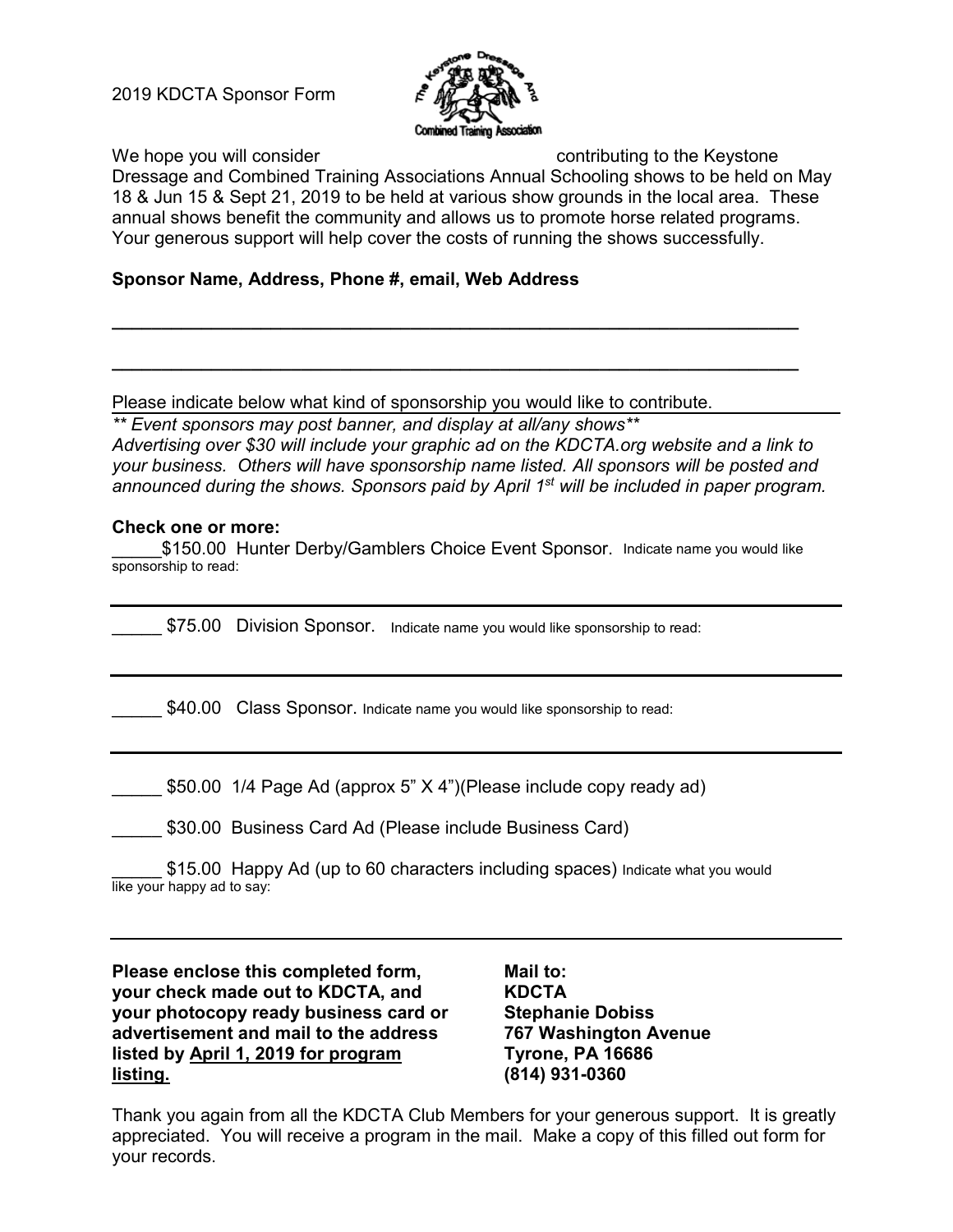2019 KDCTA Sponsor Form



We hope you will consider a contributing to the Keystone

Dressage and Combined Training Associations Annual Schooling shows to be held on May 18 & Jun 15 & Sept 21, 2019 to be held at various show grounds in the local area. These annual shows benefit the community and allows us to promote horse related programs. Your generous support will help cover the costs of running the shows successfully.

**\_\_\_\_\_\_\_\_\_\_\_\_\_\_\_\_\_\_\_\_\_\_\_\_\_\_\_\_\_\_\_\_\_\_\_\_\_\_\_\_\_\_\_\_\_\_\_\_\_\_\_\_\_\_\_\_\_\_\_\_\_\_\_\_\_\_\_\_\_**

**\_\_\_\_\_\_\_\_\_\_\_\_\_\_\_\_\_\_\_\_\_\_\_\_\_\_\_\_\_\_\_\_\_\_\_\_\_\_\_\_\_\_\_\_\_\_\_\_\_\_\_\_\_\_\_\_\_\_\_\_\_\_\_\_\_\_\_\_\_**

# **Sponsor Name, Address, Phone #, email, Web Address**

Please indicate below what kind of sponsorship you would like to contribute.

*\*\* Event sponsors may post banner, and display at all/any shows\*\**

*Advertising over \$30 will include your graphic ad on the KDCTA.org website and a link to your business. Others will have sponsorship name listed. All sponsors will be posted and announced during the shows. Sponsors paid by April 1st will be included in paper program.*

## **Check one or more:**

\$150.00 Hunter Derby/Gamblers Choice Event Sponsor. Indicate name you would like sponsorship to read:

\$75.00 Division Sponsor. Indicate name you would like sponsorship to read:

\$40.00 Class Sponsor. Indicate name you would like sponsorship to read:

\$50.00 1/4 Page Ad (approx 5" X 4")(Please include copy ready ad)

\$30.00 Business Card Ad (Please include Business Card)

\$15.00 Happy Ad (up to 60 characters including spaces) Indicate what you would like your happy ad to say:

**Please enclose this completed form, your check made out to KDCTA, and your photocopy ready business card or advertisement and mail to the address listed by April 1, 2019 for program listing.**

**Mail to: KDCTA Stephanie Dobiss 767 Washington Avenue Tyrone, PA 16686 (814) 931-0360**

Thank you again from all the KDCTA Club Members for your generous support. It is greatly appreciated. You will receive a program in the mail. Make a copy of this filled out form for your records.